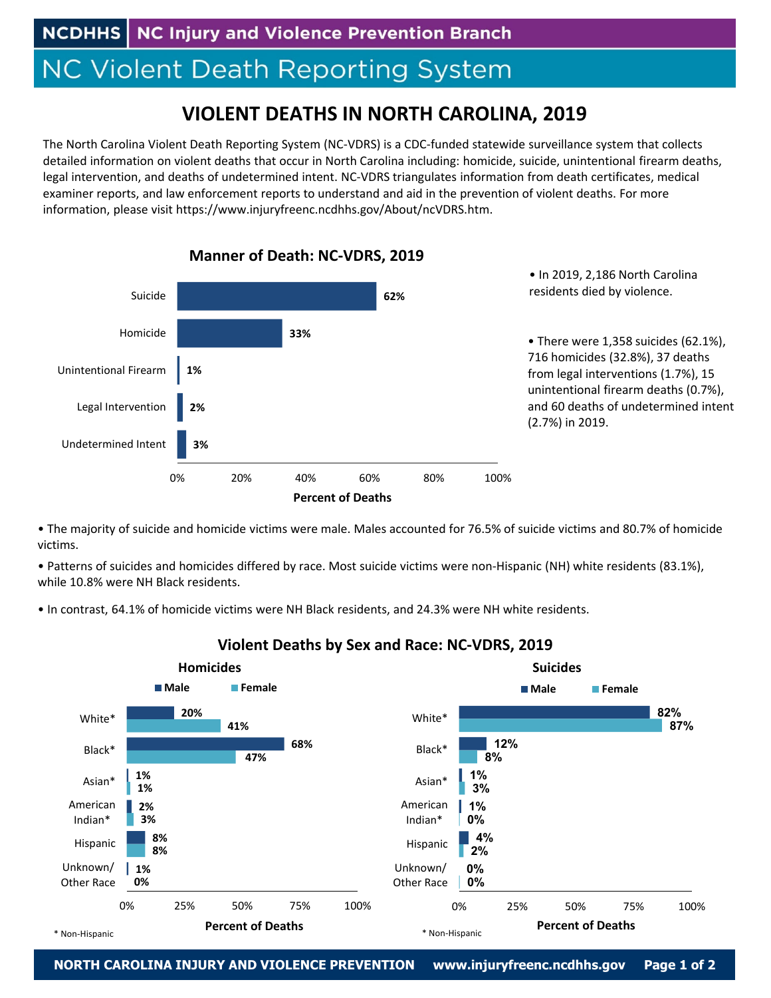## **NC Violent Death Reporting System**

## **VIOLENT DEATHS IN NORTH CAROLINA, 2019**

The North Carolina Violent Death Reporting System (NC‐VDRS) is a CDC‐funded statewide surveillance system that collects detailed information on violent deaths that occur in North Carolina including: homicide, suicide, unintentional firearm deaths, legal intervention, and deaths of undetermined intent. NC‐VDRS triangulates information from death certificates, medical examiner reports, and law enforcement reports to understand and aid in the prevention of violent deaths. For more information, please visit https://www.injuryfreenc.ncdhhs.gov/About/ncVDRS.htm.



• The majority of suicide and homicide victims were male. Males accounted for 76.5% of suicide victims and 80.7% of homicide victims.

• Patterns of suicides and homicides differed by race. Most suicide victims were non‐Hispanic (NH) white residents (83.1%), while 10.8% were NH Black residents.

• In contrast, 64.1% of homicide victims were NH Black residents, and 24.3% were NH white residents.



## **Violent Deaths by Sex and Race: NC‐VDRS, 2019**